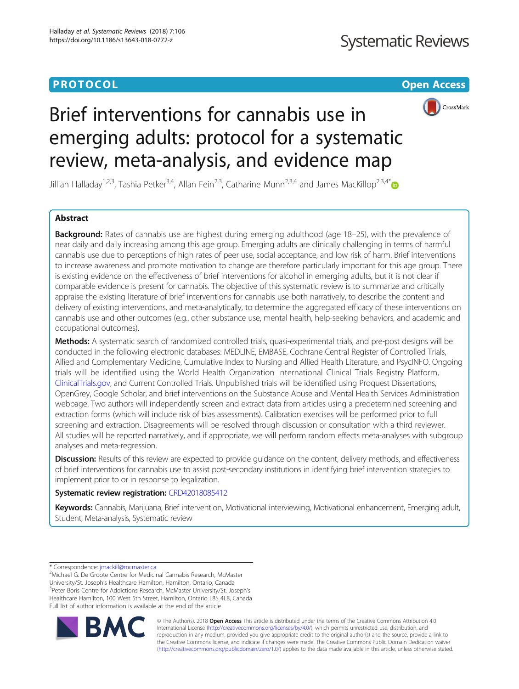# **PROTOCOL CONSUMING THE CONSUMING TEACHER CONSUMING THE CONSUMING TEACHER CONSUMING THE CONSUMING TEACHER CONSUMING**



# Brief interventions for cannabis use in emerging adults: protocol for a systematic review, meta-analysis, and evidence map

Jillian Halladay<sup>1,2,3</sup>, Tashia Petker<sup>3,4</sup>, Allan Fein<sup>2,3</sup>, Catharine Munn<sup>2,3,4</sup> and James MacKillop<sup>2,3,4\*</sup>

## Abstract

Background: Rates of cannabis use are highest during emerging adulthood (age 18–25), with the prevalence of near daily and daily increasing among this age group. Emerging adults are clinically challenging in terms of harmful cannabis use due to perceptions of high rates of peer use, social acceptance, and low risk of harm. Brief interventions to increase awareness and promote motivation to change are therefore particularly important for this age group. There is existing evidence on the effectiveness of brief interventions for alcohol in emerging adults, but it is not clear if comparable evidence is present for cannabis. The objective of this systematic review is to summarize and critically appraise the existing literature of brief interventions for cannabis use both narratively, to describe the content and delivery of existing interventions, and meta-analytically, to determine the aggregated efficacy of these interventions on cannabis use and other outcomes (e.g., other substance use, mental health, help-seeking behaviors, and academic and occupational outcomes).

Methods: A systematic search of randomized controlled trials, quasi-experimental trials, and pre-post designs will be conducted in the following electronic databases: MEDLINE, EMBASE, Cochrane Central Register of Controlled Trials, Allied and Complementary Medicine, Cumulative Index to Nursing and Allied Health Literature, and PsycINFO. Ongoing trials will be identified using the World Health Organization International Clinical Trials Registry Platform, [ClinicalTrials.gov](https://clinicaltrials.gov), and Current Controlled Trials. Unpublished trials will be identified using Proquest Dissertations, OpenGrey, Google Scholar, and brief interventions on the Substance Abuse and Mental Health Services Administration webpage. Two authors will independently screen and extract data from articles using a predetermined screening and extraction forms (which will include risk of bias assessments). Calibration exercises will be performed prior to full screening and extraction. Disagreements will be resolved through discussion or consultation with a third reviewer. All studies will be reported narratively, and if appropriate, we will perform random effects meta-analyses with subgroup analyses and meta-regression.

Discussion: Results of this review are expected to provide quidance on the content, delivery methods, and effectiveness of brief interventions for cannabis use to assist post-secondary institutions in identifying brief intervention strategies to implement prior to or in response to legalization.

### Systematic review registration: [CRD42018085412](https://www.crd.york.ac.uk/PROSPERO/display_record.php?RecordID=85412)

Keywords: Cannabis, Marijuana, Brief intervention, Motivational interviewing, Motivational enhancement, Emerging adult, Student, Meta-analysis, Systematic review

<sup>2</sup>Michael G. De Groote Centre for Medicinal Cannabis Research, McMaster University/St. Joseph's Healthcare Hamilton, Hamilton, Ontario, Canada <sup>3</sup> <sup>3</sup>Peter Boris Centre for Addictions Research, McMaster University/St. Joseph's Healthcare Hamilton, 100 West 5th Street, Hamilton, Ontario L8S 4L8, Canada Full list of author information is available at the end of the article



© The Author(s). 2018 Open Access This article is distributed under the terms of the Creative Commons Attribution 4.0 International License [\(http://creativecommons.org/licenses/by/4.0/](http://creativecommons.org/licenses/by/4.0/)), which permits unrestricted use, distribution, and reproduction in any medium, provided you give appropriate credit to the original author(s) and the source, provide a link to the Creative Commons license, and indicate if changes were made. The Creative Commons Public Domain Dedication waiver [\(http://creativecommons.org/publicdomain/zero/1.0/](http://creativecommons.org/publicdomain/zero/1.0/)) applies to the data made available in this article, unless otherwise stated.

<sup>\*</sup> Correspondence: [jmackill@mcmaster.ca](mailto:jmackill@mcmaster.ca) <sup>2</sup>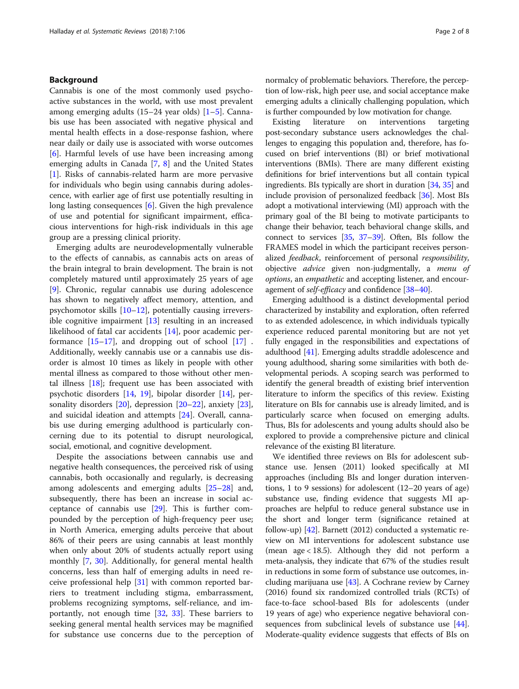#### Background

Cannabis is one of the most commonly used psychoactive substances in the world, with use most prevalent among emerging adults (15–24 year olds) [\[1](#page-6-0)–[5\]](#page-6-0). Cannabis use has been associated with negative physical and mental health effects in a dose-response fashion, where near daily or daily use is associated with worse outcomes [[6\]](#page-6-0). Harmful levels of use have been increasing among emerging adults in Canada [\[7](#page-6-0), [8](#page-6-0)] and the United States [[1\]](#page-6-0). Risks of cannabis-related harm are more pervasive for individuals who begin using cannabis during adolescence, with earlier age of first use potentially resulting in long lasting consequences [[6\]](#page-6-0). Given the high prevalence of use and potential for significant impairment, efficacious interventions for high-risk individuals in this age group are a pressing clinical priority.

Emerging adults are neurodevelopmentally vulnerable to the effects of cannabis, as cannabis acts on areas of the brain integral to brain development. The brain is not completely matured until approximately 25 years of age [[9\]](#page-6-0). Chronic, regular cannabis use during adolescence has shown to negatively affect memory, attention, and psychomotor skills  $[10-12]$  $[10-12]$  $[10-12]$  $[10-12]$  $[10-12]$ , potentially causing irreversible cognitive impairment  $[13]$  $[13]$  $[13]$  resulting in an increased likelihood of fatal car accidents [\[14\]](#page-6-0), poor academic performance  $[15-17]$  $[15-17]$  $[15-17]$  $[15-17]$  $[15-17]$ , and dropping out of school  $[17]$ . Additionally, weekly cannabis use or a cannabis use disorder is almost 10 times as likely in people with other mental illness as compared to those without other mental illness [\[18\]](#page-6-0); frequent use has been associated with psychotic disorders [\[14](#page-6-0), [19\]](#page-6-0), bipolar disorder [\[14](#page-6-0)], personality disorders [[20\]](#page-6-0), depression [[20](#page-6-0)–[22\]](#page-6-0), anxiety [\[23](#page-6-0)], and suicidal ideation and attempts [\[24](#page-6-0)]. Overall, cannabis use during emerging adulthood is particularly concerning due to its potential to disrupt neurological, social, emotional, and cognitive development.

Despite the associations between cannabis use and negative health consequences, the perceived risk of using cannabis, both occasionally and regularly, is decreasing among adolescents and emerging adults [\[25](#page-6-0)–[28\]](#page-6-0) and, subsequently, there has been an increase in social acceptance of cannabis use [[29\]](#page-6-0). This is further compounded by the perception of high-frequency peer use; in North America, emerging adults perceive that about 86% of their peers are using cannabis at least monthly when only about 20% of students actually report using monthly [[7,](#page-6-0) [30\]](#page-6-0). Additionally, for general mental health concerns, less than half of emerging adults in need receive professional help [\[31](#page-6-0)] with common reported barriers to treatment including stigma, embarrassment, problems recognizing symptoms, self-reliance, and importantly, not enough time [\[32](#page-6-0), [33\]](#page-6-0). These barriers to seeking general mental health services may be magnified for substance use concerns due to the perception of

normalcy of problematic behaviors. Therefore, the perception of low-risk, high peer use, and social acceptance make emerging adults a clinically challenging population, which is further compounded by low motivation for change.

Existing literature on interventions targeting post-secondary substance users acknowledges the challenges to engaging this population and, therefore, has focused on brief interventions (BI) or brief motivational interventions (BMIs). There are many different existing definitions for brief interventions but all contain typical ingredients. BIs typically are short in duration [[34](#page-6-0), [35\]](#page-6-0) and include provision of personalized feedback [[36](#page-6-0)]. Most BIs adopt a motivational interviewing (MI) approach with the primary goal of the BI being to motivate participants to change their behavior, teach behavioral change skills, and connect to services [[35,](#page-6-0) [37](#page-6-0)–[39](#page-7-0)]. Often, BIs follow the FRAMES model in which the participant receives personalized feedback, reinforcement of personal responsibility, objective advice given non-judgmentally, a menu of options, an empathetic and accepting listener, and encouragement of *self-efficacy* and confidence [[38](#page-7-0)-[40\]](#page-7-0).

Emerging adulthood is a distinct developmental period characterized by instability and exploration, often referred to as extended adolescence, in which individuals typically experience reduced parental monitoring but are not yet fully engaged in the responsibilities and expectations of adulthood [[41](#page-7-0)]. Emerging adults straddle adolescence and young adulthood, sharing some similarities with both developmental periods. A scoping search was performed to identify the general breadth of existing brief intervention literature to inform the specifics of this review. Existing literature on BIs for cannabis use is already limited, and is particularly scarce when focused on emerging adults. Thus, BIs for adolescents and young adults should also be explored to provide a comprehensive picture and clinical relevance of the existing BI literature.

We identified three reviews on BIs for adolescent substance use. Jensen (2011) looked specifically at MI approaches (including BIs and longer duration interventions, 1 to 9 sessions) for adolescent (12–20 years of age) substance use, finding evidence that suggests MI approaches are helpful to reduce general substance use in the short and longer term (significance retained at follow-up) [\[42\]](#page-7-0). Barnett (2012) conducted a systematic review on MI interventions for adolescent substance use (mean age < 18.5). Although they did not perform a meta-analysis, they indicate that 67% of the studies result in reductions in some form of substance use outcomes, including marijuana use [[43](#page-7-0)]. A Cochrane review by Carney (2016) found six randomized controlled trials (RCTs) of face-to-face school-based BIs for adolescents (under 19 years of age) who experience negative behavioral consequences from subclinical levels of substance use [[44](#page-7-0)]. Moderate-quality evidence suggests that effects of BIs on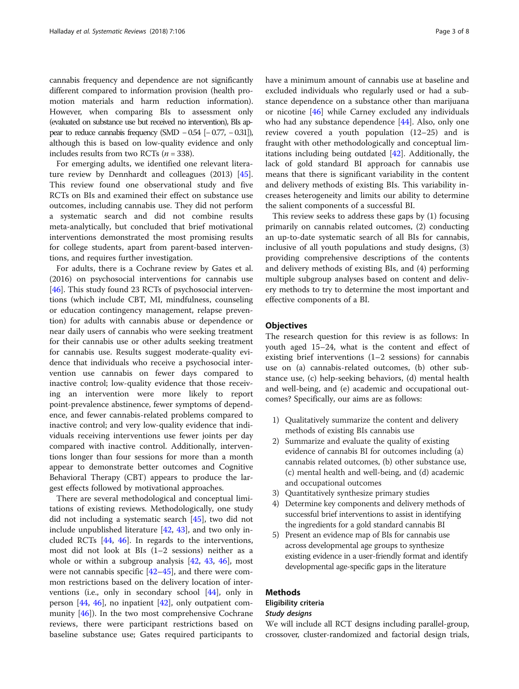cannabis frequency and dependence are not significantly different compared to information provision (health promotion materials and harm reduction information). However, when comparing BIs to assessment only (evaluated on substance use but received no intervention), BIs appear to reduce cannabis frequency (SMD  $-0.54$  [ $-0.77, -0.31$ ]), although this is based on low-quality evidence and only includes results from two RCTs ( $n = 338$ ).

For emerging adults, we identified one relevant literature review by Dennhardt and colleagues (2013) [\[45](#page-7-0)]. This review found one observational study and five RCTs on BIs and examined their effect on substance use outcomes, including cannabis use. They did not perform a systematic search and did not combine results meta-analytically, but concluded that brief motivational interventions demonstrated the most promising results for college students, apart from parent-based interventions, and requires further investigation.

For adults, there is a Cochrane review by Gates et al. (2016) on psychosocial interventions for cannabis use [[46\]](#page-7-0). This study found 23 RCTs of psychosocial interventions (which include CBT, MI, mindfulness, counseling or education contingency management, relapse prevention) for adults with cannabis abuse or dependence or near daily users of cannabis who were seeking treatment for their cannabis use or other adults seeking treatment for cannabis use. Results suggest moderate-quality evidence that individuals who receive a psychosocial intervention use cannabis on fewer days compared to inactive control; low-quality evidence that those receiving an intervention were more likely to report point-prevalence abstinence, fewer symptoms of dependence, and fewer cannabis-related problems compared to inactive control; and very low-quality evidence that individuals receiving interventions use fewer joints per day compared with inactive control. Additionally, interventions longer than four sessions for more than a month appear to demonstrate better outcomes and Cognitive Behavioral Therapy (CBT) appears to produce the largest effects followed by motivational approaches.

There are several methodological and conceptual limitations of existing reviews. Methodologically, one study did not including a systematic search [\[45](#page-7-0)], two did not include unpublished literature [\[42](#page-7-0), [43\]](#page-7-0), and two only included RCTs [[44,](#page-7-0) [46](#page-7-0)]. In regards to the interventions, most did not look at BIs (1–2 sessions) neither as a whole or within a subgroup analysis [\[42](#page-7-0), [43](#page-7-0), [46\]](#page-7-0), most were not cannabis specific [[42](#page-7-0)–[45](#page-7-0)], and there were common restrictions based on the delivery location of interventions (i.e., only in secondary school [\[44](#page-7-0)], only in person [\[44](#page-7-0), [46\]](#page-7-0), no inpatient [\[42](#page-7-0)], only outpatient community [[46](#page-7-0)]). In the two most comprehensive Cochrane reviews, there were participant restrictions based on baseline substance use; Gates required participants to have a minimum amount of cannabis use at baseline and excluded individuals who regularly used or had a substance dependence on a substance other than marijuana or nicotine [[46](#page-7-0)] while Carney excluded any individuals who had any substance dependence [[44\]](#page-7-0). Also, only one review covered a youth population (12–25) and is fraught with other methodologically and conceptual limitations including being outdated [\[42](#page-7-0)]. Additionally, the lack of gold standard BI approach for cannabis use means that there is significant variability in the content and delivery methods of existing BIs. This variability increases heterogeneity and limits our ability to determine the salient components of a successful BI.

This review seeks to address these gaps by (1) focusing primarily on cannabis related outcomes, (2) conducting an up-to-date systematic search of all BIs for cannabis, inclusive of all youth populations and study designs, (3) providing comprehensive descriptions of the contents and delivery methods of existing BIs, and (4) performing multiple subgroup analyses based on content and delivery methods to try to determine the most important and effective components of a BI.

#### **Objectives**

The research question for this review is as follows: In youth aged 15–24, what is the content and effect of existing brief interventions (1–2 sessions) for cannabis use on (a) cannabis-related outcomes, (b) other substance use, (c) help-seeking behaviors, (d) mental health and well-being, and (e) academic and occupational outcomes? Specifically, our aims are as follows:

- 1) Qualitatively summarize the content and delivery methods of existing BIs cannabis use
- 2) Summarize and evaluate the quality of existing evidence of cannabis BI for outcomes including (a) cannabis related outcomes, (b) other substance use, (c) mental health and well-being, and (d) academic and occupational outcomes
- 3) Quantitatively synthesize primary studies
- 4) Determine key components and delivery methods of successful brief interventions to assist in identifying the ingredients for a gold standard cannabis BI
- 5) Present an evidence map of BIs for cannabis use across developmental age groups to synthesize existing evidence in a user-friendly format and identify developmental age-specific gaps in the literature

#### Methods

#### Eligibility criteria

#### Study designs

We will include all RCT designs including parallel-group, crossover, cluster-randomized and factorial design trials,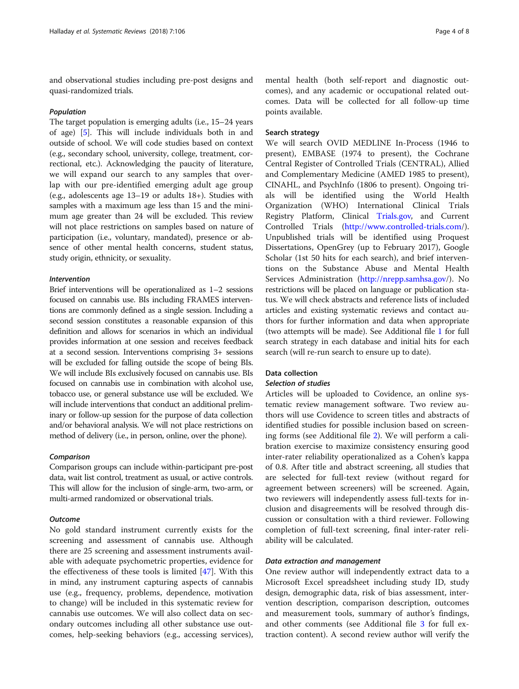and observational studies including pre-post designs and quasi-randomized trials.

#### Population

The target population is emerging adults (i.e., 15–24 years of age) [\[5](#page-6-0)]. This will include individuals both in and outside of school. We will code studies based on context (e.g., secondary school, university, college, treatment, correctional, etc.). Acknowledging the paucity of literature, we will expand our search to any samples that overlap with our pre-identified emerging adult age group (e.g., adolescents age 13–19 or adults 18+). Studies with samples with a maximum age less than 15 and the minimum age greater than 24 will be excluded. This review will not place restrictions on samples based on nature of participation (i.e., voluntary, mandated), presence or absence of other mental health concerns, student status, study origin, ethnicity, or sexuality.

#### Intervention

Brief interventions will be operationalized as 1–2 sessions focused on cannabis use. BIs including FRAMES interventions are commonly defined as a single session. Including a second session constitutes a reasonable expansion of this definition and allows for scenarios in which an individual provides information at one session and receives feedback at a second session. Interventions comprising 3+ sessions will be excluded for falling outside the scope of being BIs. We will include BIs exclusively focused on cannabis use. BIs focused on cannabis use in combination with alcohol use, tobacco use, or general substance use will be excluded. We will include interventions that conduct an additional preliminary or follow-up session for the purpose of data collection and/or behavioral analysis. We will not place restrictions on method of delivery (i.e., in person, online, over the phone).

#### Comparison

Comparison groups can include within-participant pre-post data, wait list control, treatment as usual, or active controls. This will allow for the inclusion of single-arm, two-arm, or multi-armed randomized or observational trials.

#### **Outcome**

No gold standard instrument currently exists for the screening and assessment of cannabis use. Although there are 25 screening and assessment instruments available with adequate psychometric properties, evidence for the effectiveness of these tools is limited [\[47](#page-7-0)]. With this in mind, any instrument capturing aspects of cannabis use (e.g., frequency, problems, dependence, motivation to change) will be included in this systematic review for cannabis use outcomes. We will also collect data on secondary outcomes including all other substance use outcomes, help-seeking behaviors (e.g., accessing services),

mental health (both self-report and diagnostic outcomes), and any academic or occupational related outcomes. Data will be collected for all follow-up time points available.

#### Search strategy

We will search OVID MEDLINE In-Process (1946 to present), EMBASE (1974 to present), the Cochrane Central Register of Controlled Trials (CENTRAL), Allied and Complementary Medicine (AMED 1985 to present), CINAHL, and PsychInfo (1806 to present). Ongoing trials will be identified using the World Health Organization (WHO) International Clinical Trials Registry Platform, Clinical [Trials.gov,](http://trials.gov) and Current Controlled Trials ([http://www.controlled-trials.com/](http://www.controlled-trials.com)). Unpublished trials will be identified using Proquest Dissertations, OpenGrey (up to February 2017), Google Scholar (1st 50 hits for each search), and brief interventions on the Substance Abuse and Mental Health Services Administration [\(http://nrepp.samhsa.gov/](http://nrepp.samhsa.gov)). No restrictions will be placed on language or publication status. We will check abstracts and reference lists of included articles and existing systematic reviews and contact authors for further information and data when appropriate (two attempts will be made). See Additional file [1](#page-5-0) for full search strategy in each database and initial hits for each search (will re-run search to ensure up to date).

#### Data collection

#### Selection of studies

Articles will be uploaded to Covidence, an online systematic review management software. Two review authors will use Covidence to screen titles and abstracts of identified studies for possible inclusion based on screening forms (see Additional file [2](#page-5-0)). We will perform a calibration exercise to maximize consistency ensuring good inter-rater reliability operationalized as a Cohen's kappa of 0.8. After title and abstract screening, all studies that are selected for full-text review (without regard for agreement between screeners) will be screened. Again, two reviewers will independently assess full-texts for inclusion and disagreements will be resolved through discussion or consultation with a third reviewer. Following completion of full-text screening, final inter-rater reliability will be calculated.

#### Data extraction and management

One review author will independently extract data to a Microsoft Excel spreadsheet including study ID, study design, demographic data, risk of bias assessment, intervention description, comparison description, outcomes and measurement tools, summary of author's findings, and other comments (see Additional file [3](#page-5-0) for full extraction content). A second review author will verify the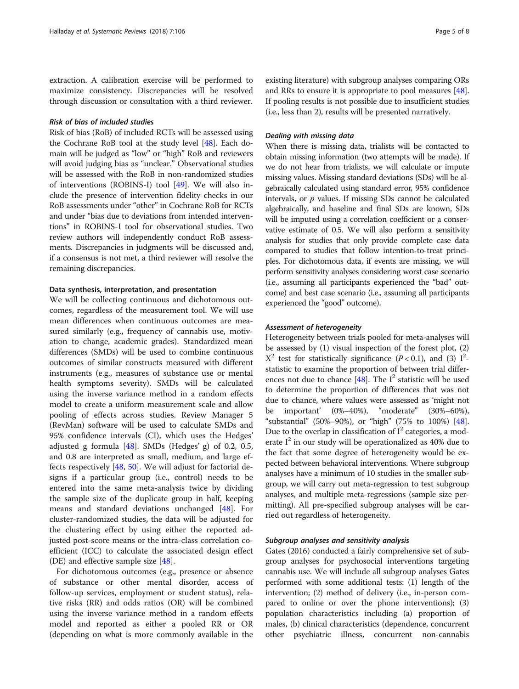extraction. A calibration exercise will be performed to maximize consistency. Discrepancies will be resolved through discussion or consultation with a third reviewer.

#### Risk of bias of included studies

Risk of bias (RoB) of included RCTs will be assessed using the Cochrane RoB tool at the study level [[48](#page-7-0)]. Each domain will be judged as "low" or "high" RoB and reviewers will avoid judging bias as "unclear." Observational studies will be assessed with the RoB in non-randomized studies of interventions (ROBINS-I) tool [\[49\]](#page-7-0). We will also include the presence of intervention fidelity checks in our RoB assessments under "other" in Cochrane RoB for RCTs and under "bias due to deviations from intended interventions" in ROBINS-I tool for observational studies. Two review authors will independently conduct RoB assessments. Discrepancies in judgments will be discussed and, if a consensus is not met, a third reviewer will resolve the remaining discrepancies.

#### Data synthesis, interpretation, and presentation

We will be collecting continuous and dichotomous outcomes, regardless of the measurement tool. We will use mean differences when continuous outcomes are measured similarly (e.g., frequency of cannabis use, motivation to change, academic grades). Standardized mean differences (SMDs) will be used to combine continuous outcomes of similar constructs measured with different instruments (e.g., measures of substance use or mental health symptoms severity). SMDs will be calculated using the inverse variance method in a random effects model to create a uniform measurement scale and allow pooling of effects across studies. Review Manager 5 (RevMan) software will be used to calculate SMDs and 95% confidence intervals (CI), which uses the Hedges' adjusted g formula [\[48](#page-7-0)]. SMDs (Hedges' g) of 0.2, 0.5, and 0.8 are interpreted as small, medium, and large effects respectively [\[48,](#page-7-0) [50\]](#page-7-0). We will adjust for factorial designs if a particular group (i.e., control) needs to be entered into the same meta-analysis twice by dividing the sample size of the duplicate group in half, keeping means and standard deviations unchanged [[48\]](#page-7-0). For cluster-randomized studies, the data will be adjusted for the clustering effect by using either the reported adjusted post-score means or the intra-class correlation coefficient (ICC) to calculate the associated design effect (DE) and effective sample size [[48\]](#page-7-0).

For dichotomous outcomes (e.g., presence or absence of substance or other mental disorder, access of follow-up services, employment or student status), relative risks (RR) and odds ratios (OR) will be combined using the inverse variance method in a random effects model and reported as either a pooled RR or OR (depending on what is more commonly available in the

existing literature) with subgroup analyses comparing ORs and RRs to ensure it is appropriate to pool measures [[48](#page-7-0)]. If pooling results is not possible due to insufficient studies (i.e., less than 2), results will be presented narratively.

#### Dealing with missing data

When there is missing data, trialists will be contacted to obtain missing information (two attempts will be made). If we do not hear from trialists, we will calculate or impute missing values. Missing standard deviations (SDs) will be algebraically calculated using standard error, 95% confidence intervals, or  $p$  values. If missing SDs cannot be calculated algebraically, and baseline and final SDs are known, SDs will be imputed using a correlation coefficient or a conservative estimate of 0.5. We will also perform a sensitivity analysis for studies that only provide complete case data compared to studies that follow intention-to-treat principles. For dichotomous data, if events are missing, we will perform sensitivity analyses considering worst case scenario (i.e., assuming all participants experienced the "bad" outcome) and best case scenario (i.e., assuming all participants experienced the "good" outcome).

#### Assessment of heterogeneity

Heterogeneity between trials pooled for meta-analyses will be assessed by (1) visual inspection of the forest plot, (2)  $X^2$  test for statistically significance (P < 0.1), and (3)  $I^2$ statistic to examine the proportion of between trial differ-ences not due to chance [[48](#page-7-0)]. The  $I^2$  statistic will be used to determine the proportion of differences that was not due to chance, where values were assessed as 'might not be important' (0%–40%), "moderate" (30%–60%), "substantial" (50%–90%), or "high" (75% to 100%) [[48](#page-7-0)]. Due to the overlap in classification of  $I^2$  categories, a moderate  $I^2$  in our study will be operationalized as 40% due to the fact that some degree of heterogeneity would be expected between behavioral interventions. Where subgroup analyses have a minimum of 10 studies in the smaller subgroup, we will carry out meta-regression to test subgroup analyses, and multiple meta-regressions (sample size permitting). All pre-specified subgroup analyses will be carried out regardless of heterogeneity.

#### Subgroup analyses and sensitivity analysis

Gates (2016) conducted a fairly comprehensive set of subgroup analyses for psychosocial interventions targeting cannabis use. We will include all subgroup analyses Gates performed with some additional tests: (1) length of the intervention; (2) method of delivery (i.e., in-person compared to online or over the phone interventions); (3) population characteristics including (a) proportion of males, (b) clinical characteristics (dependence, concurrent other psychiatric illness, concurrent non-cannabis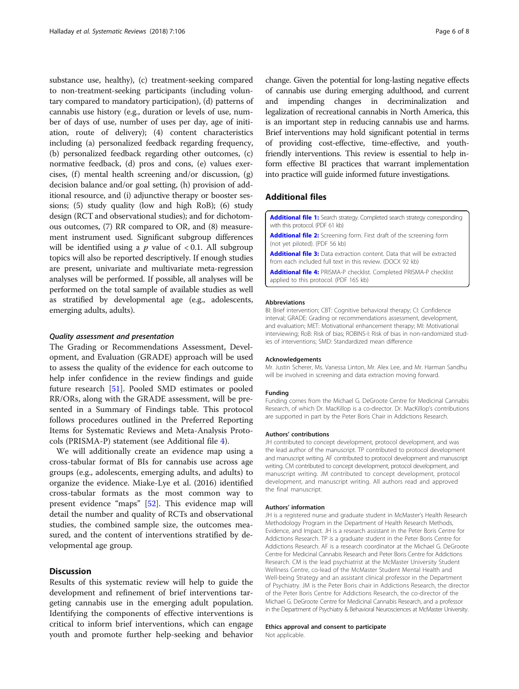<span id="page-5-0"></span>substance use, healthy), (c) treatment-seeking compared to non-treatment-seeking participants (including voluntary compared to mandatory participation), (d) patterns of cannabis use history (e.g., duration or levels of use, number of days of use, number of uses per day, age of initiation, route of delivery); (4) content characteristics including (a) personalized feedback regarding frequency, (b) personalized feedback regarding other outcomes, (c) normative feedback, (d) pros and cons, (e) values exercises,  $(f)$  mental health screening and/or discussion,  $(g)$ decision balance and/or goal setting, (h) provision of additional resource, and (i) adjunctive therapy or booster sessions; (5) study quality (low and high RoB); (6) study design (RCT and observational studies); and for dichotomous outcomes, (7) RR compared to OR, and (8) measurement instrument used. Significant subgroup differences will be identified using a  $p$  value of  $< 0.1$ . All subgroup topics will also be reported descriptively. If enough studies are present, univariate and multivariate meta-regression analyses will be performed. If possible, all analyses will be performed on the total sample of available studies as well as stratified by developmental age (e.g., adolescents, emerging adults, adults).

#### Quality assessment and presentation

The Grading or Recommendations Assessment, Development, and Evaluation (GRADE) approach will be used to assess the quality of the evidence for each outcome to help infer confidence in the review findings and guide future research [\[51\]](#page-7-0). Pooled SMD estimates or pooled RR/ORs, along with the GRADE assessment, will be presented in a Summary of Findings table. This protocol follows procedures outlined in the Preferred Reporting Items for Systematic Reviews and Meta-Analysis Protocols (PRISMA-P) statement (see Additional file 4).

We will additionally create an evidence map using a cross-tabular format of BIs for cannabis use across age groups (e.g., adolescents, emerging adults, and adults) to organize the evidence. Miake-Lye et al. (2016) identified cross-tabular formats as the most common way to present evidence "maps" [\[52](#page-7-0)]. This evidence map will detail the number and quality of RCTs and observational studies, the combined sample size, the outcomes measured, and the content of interventions stratified by developmental age group.

#### **Discussion**

Results of this systematic review will help to guide the development and refinement of brief interventions targeting cannabis use in the emerging adult population. Identifying the components of effective interventions is critical to inform brief interventions, which can engage youth and promote further help-seeking and behavior change. Given the potential for long-lasting negative effects of cannabis use during emerging adulthood, and current and impending changes in decriminalization and legalization of recreational cannabis in North America, this is an important step in reducing cannabis use and harms. Brief interventions may hold significant potential in terms of providing cost-effective, time-effective, and youthfriendly interventions. This review is essential to help inform effective BI practices that warrant implementation into practice will guide informed future investigations.

#### Additional files

[Additional file 1:](https://doi.org/10.1186/s13643-018-0772-z) Search strategy. Completed search strategy corresponding with this protocol. (PDF 61 kb)

[Additional file 2:](https://doi.org/10.1186/s13643-018-0772-z) Screening form. First draft of the screening form (not yet piloted). (PDF 56 kb)

[Additional file 3:](https://doi.org/10.1186/s13643-018-0772-z) Data extraction content. Data that will be extracted from each included full text in this review. (DOCX 92 kb)

[Additional file 4:](https://doi.org/10.1186/s13643-018-0772-z) PRISMA-P checklist. Completed PRISMA-P checklist applied to this protocol. (PDF 165 kb)

#### Abbreviations

BI: Brief intervention; CBT: Cognitive behavioral therapy; CI: Confidence interval; GRADE: Grading or recommendations assessment, development, and evaluation; MET: Motivational enhancement therapy; MI: Motivational interviewing; RoB: Risk of bias; ROBINS-I: Risk of bias in non-randomized studies of interventions; SMD: Standardized mean difference

#### Acknowledgements

Mr. Justin Scherer, Ms. Vanessa Linton, Mr. Alex Lee, and Mr. Harman Sandhu will be involved in screening and data extraction moving forward.

#### Funding

Funding comes from the Michael G. DeGroote Centre for Medicinal Cannabis Research, of which Dr. MacKillop is a co-director. Dr. MacKillop's contributions are supported in part by the Peter Boris Chair in Addictions Research.

#### Authors' contributions

JH contributed to concept development, protocol development, and was the lead author of the manuscript. TP contributed to protocol development and manuscript writing. AF contributed to protocol development and manuscript writing. CM contributed to concept development, protocol development, and manuscript writing. JM contributed to concept development, protocol development, and manuscript writing. All authors read and approved the final manuscript.

#### Authors' information

JH is a registered nurse and graduate student in McMaster's Health Research Methodology Program in the Department of Health Research Methods, Evidence, and Impact. JH is a research assistant in the Peter Boris Centre for Addictions Research. TP is a graduate student in the Peter Boris Centre for Addictions Research. AF is a research coordinator at the Michael G. DeGroote Centre for Medicinal Cannabis Research and Peter Boris Centre for Addictions Research. CM is the lead psychiatrist at the McMaster University Student Wellness Centre, co-lead of the McMaster Student Mental Health and Well-being Strategy and an assistant clinical professor in the Department of Psychiatry. JM is the Peter Boris chair in Addictions Research, the director of the Peter Boris Centre for Addictions Research, the co-director of the Michael G. DeGroote Centre for Medicinal Cannabis Research, and a professor in the Department of Psychiatry & Behavioral Neurosciences at McMaster University.

#### Ethics approval and consent to participate

Not applicable.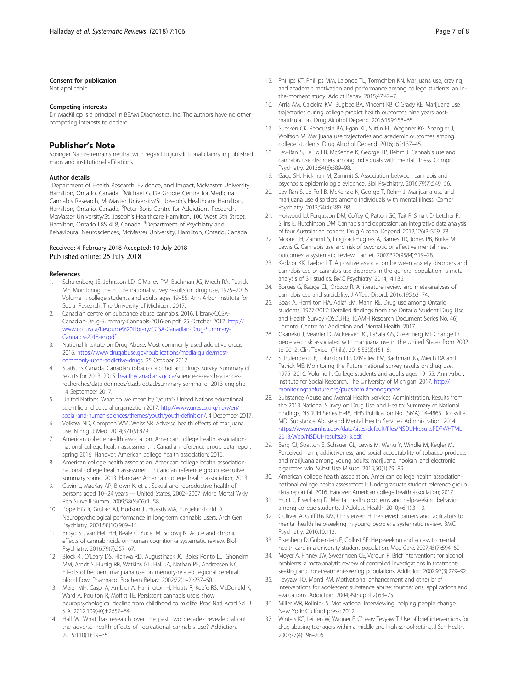#### <span id="page-6-0"></span>Consent for publication

Not applicable.

#### Competing interests

Dr. MacKillop is a principal in BEAM Diagnostics, Inc. The authors have no other competing interests to declare.

#### Publisher's Note

Springer Nature remains neutral with regard to jurisdictional claims in published maps and institutional affiliations.

#### Author details

<sup>1</sup>Department of Health Research, Evidence, and Impact, McMaster University, Hamilton, Ontario, Canada. <sup>2</sup>Michael G. De Groote Centre for Medicinal Cannabis Research, McMaster University/St. Joseph's Healthcare Hamilton, Hamilton, Ontario, Canada. <sup>3</sup>Peter Boris Centre for Addictions Research, McMaster University/St. Joseph's Healthcare Hamilton, 100 West 5th Street, Hamilton, Ontario L8S 4L8, Canada. <sup>4</sup>Department of Psychiatry and Behavioural Neurosciences, McMaster University, Hamilton, Ontario, Canada.

#### Received: 4 February 2018 Accepted: 10 July 2018 Published online: 25 July 2018

#### References

- Schulenberg JE, Johnston LD, O'Malley PM, Bachman JG, Miech RA, Patrick ME. Monitoring the Future national survey results on drug use, 1975–2016: Volume II, college students and adults ages 19–55. Ann Arbor: Institute for Social Research, The University of Michigan. 2017.
- 2. Canadian centre on substance abuse cannabis. 2016. Library/CCSA-Canadian-Drug-Summary-Cannabis-2016-en.pdf. 25 October 2017. [http://](http://www.ccdus.ca/Resource%20Library/CCSA-Canadian-Drug-Summary-Cannabis-2018-en.pdf) [www.ccdus.ca/Resource%20Library/CCSA-Canadian-Drug-Summary-](http://www.ccdus.ca/Resource%20Library/CCSA-Canadian-Drug-Summary-Cannabis-2018-en.pdf)[Cannabis-2018-en.pdf](http://www.ccdus.ca/Resource%20Library/CCSA-Canadian-Drug-Summary-Cannabis-2018-en.pdf).
- 3. National Intsitute on Drug Abuse. Most commonly used addictive drugs. 2016. [https://www.drugabuse.gov/publications/media-guide/most](https://www.drugabuse.gov/publications/media-guide/most-commonly-used-addictive-drugs)[commonly-used-addictive-drugs.](https://www.drugabuse.gov/publications/media-guide/most-commonly-used-addictive-drugs) 25 October 2017.
- 4. Statistics Canada. Canadian tobacco, alcohol and drugs survey: summary of results for 2013. 2015. [healthycanadians.gc.ca](http://healthycanadians.gc.ca)/science-research-sciencesrecherches/data-donnees/ctads-ectad/summary-sommaire- 2013-eng.php. 14 September 2017.
- 5. United Nations. What do we mean by "youth"? United Nations educational, scientific and cultural organization 2017. [http://www.unesco.org/new/en/](http://www.unesco.org/new/en/social-and-human-sciences/themes/youth/youth-definition/) [social-and-human-sciences/themes/youth/youth-definition/](http://www.unesco.org/new/en/social-and-human-sciences/themes/youth/youth-definition/). 4 December 2017.
- 6. Volkow ND, Compton WM, Weiss SR. Adverse health effects of marijuana use. N Engl J Med. 2014;371(9):879.
- 7. American college health association. American college health associationnational college health assessment II: Canadian reference group data report spring 2016. Hanover: American college health association; 2016.
- 8. American college health association. American college health associationnational college health assessment II: Candian reference group executive summary spring 2013. Hanover: American college health association; 2013
- 9. Gavin L, MacKay AP, Brown K, et al. Sexual and reproductive health of persons aged 10--24 years --- United States, 2002--2007. Morb Mortal Wkly Rep Surveill Summ. 2009;58(SS06):1–58.
- 10. Pope HG Jr, Gruber AJ, Hudson JI, Huestis MA, Yurgelun-Todd D. Neuropsychological performance in long-term cannabis users. Arch Gen Psychiatry. 2001;58(10):909–15.
- 11. Broyd SJ, van Hell HH, Beale C, Yucel M, Solowij N. Acute and chronic effects of cannabinoids on human cognition-a systematic review. Biol Psychiatry. 2016;79(7):557–67.
- 12. Block RI, O'Leary DS, Hichwa RD, Augustinack JC, Boles Ponto LL, Ghoneim MM, Arndt S, Hurtig RR, Watkins GL, Hall JA, Nathan PE, Andreasen NC. Effects of frequent marijuana use on memory-related regional cerebral blood flow. Pharmacol Biochem Behav. 2002;72(1–2):237–50.
- 13. Meier MH, Caspi A, Ambler A, Harrington H, Houts R, Keefe RS, McDonald K, Ward A, Poulton R, Moffitt TE. Persistent cannabis users show neuropsychological decline from childhood to midlife. Proc Natl Acad Sci U S A. 2012;109(40):E2657–64.
- 14. Hall W. What has research over the past two decades revealed about the adverse health effects of recreational cannabis use? Addiction. 2015;110(1):19–35.
- 15. Phillips KT, Phillips MM, Lalonde TL, Tormohlen KN. Marijuana use, craving, and academic motivation and performance among college students: an inthe-moment study. Addict Behav. 2015;47:42–7.
- 16. Arria AM, Caldeira KM, Bugbee BA, Vincent KB, O'Grady KE. Marijuana use trajectories during college predict health outcomes nine years postmatriculation. Drug Alcohol Depend. 2016;159:158–65.
- 17. Suerken CK, Reboussin BA, Egan KL, Sutfin EL, Wagoner KG, Spangler J, Wolfson M. Marijuana use trajectories and academic outcomes among college students. Drug Alcohol Depend. 2016;162:137–45.
- 18. Lev-Ran S, Le Foll B, McKenzie K, George TP, Rehm J. Cannabis use and cannabis use disorders among individuals with mental illness. Compr Psychiatry. 2013;54(6):589–98.
- 19. Gage SH, Hickman M, Zammit S. Association between cannabis and psychosis: epidemiologic evidence. Biol Psychiatry. 2016;79(7):549–56.
- 20. Lev-Ran S, Le Foll B, McKenzie K, George T, Rehm J. Marijuana use and marijuana use disorders among individuals with mental illness. Compr Psychiatry. 2013;54(4):589–98.
- 21. Horwood LJ, Fergusson DM, Coffey C, Patton GC, Tait R, Smart D, Letcher P, Silins E, Hutchinson DM. Cannabis and depression: an integrative data analysis of four Australasian cohorts. Drug Alcohol Depend. 2012;126(3):369–78.
- 22. Moore TH, Zammit S, Lingford-Hughes A, Barnes TR, Jones PB, Burke M, Lewis G. Cannabis use and risk of psychotic or affective mental heath outcomes: a systematic review. Lancet. 2007;370(9584):319–28.
- 23. Kedzior KK, Laeber LT. A positive association between anxiety disorders and cannabis use or cannabis use disorders in the general population--a metaanalysis of 31 studies. BMC Psychiatry. 2014;14:136.
- 24. Borges G, Bagge CL, Orozco R. A literature review and meta-analyses of cannabis use and suicidality. J Affect Disord. 2016;195:63–74.
- 25. Boak A, Hamilton HA, Adlaf EM, Mann RE. Drug use among Ontario students, 1977-2017: Detailed findings from the Ontario Student Drug Use and Health Survey (OSDUHS) (CAMH Research Document Series No. 46). Toronto: Centre for Addiction and Mental Health. 2017.
- 26. Okaneku J, Vearrier D, McKeever RG, LaSala GS, Greenberg MI. Change in perceived risk associated with marijuana use in the United States from 2002 to 2012. Clin Toxicol (Phila). 2015;53(3):151–5.
- 27. Schulenberg JE, Johnston LD, O'Malley PM, Bachman JG, Miech RA and Patrick ME. Monitoring the Future national survey results on drug use, 1975–2016: Volume II, College students and adults ages 19–55. Ann Arbor: Institute for Social Research, The University of Michigan; 2017. [http://](http://monitoringthefuture.org/pubs.html#monographs) [monitoringthefuture.org/pubs.html#monographs](http://monitoringthefuture.org/pubs.html#monographs).
- 28. Substance Abuse and Mental Health Services Administration. Results from the 2013 National Survey on Drug Use and Health: Summary of National Findings, NSDUH Series H-48, HHS Publication No. (SMA) 14-4863. Rockville, MD: Substance Abuse and Mental Health Services Administration. 2014. [https://www.samhsa.gov/data/sites/default/files/NSDUHresultsPDFWHTML](https://www.samhsa.gov/data/sites/default/files/NSDUHresultsPDFWHTML2013/Web/NSDUHresults2013.pdf) [2013/Web/NSDUHresults2013.pdf](https://www.samhsa.gov/data/sites/default/files/NSDUHresultsPDFWHTML2013/Web/NSDUHresults2013.pdf).
- 29. Berg CJ, Stratton E, Schauer GL, Lewis M, Wang Y, Windle M, Kegler M. Perceived harm, addictiveness, and social acceptability of tobacco products and marijuana among young adults: marijuana, hookah, and electronic cigarettes win. Subst Use Misuse. 2015;50(1):79–89.
- 30. American college health association. American college health associationnational college health assessment II: Undergraduate student reference group data report fall 2016. Hanover: American college health association; 2017.
- 31. Hunt J, Eisenberg D. Mental health problems and help-seeking behavior among college students. J Adolesc Health. 2010;46(1):3–10.
- 32. Gulliver A, Griffiths KM, Christensen H. Perceived barriers and facilitators to mental health help-seeking in young people: a systematic review. BMC Psychiatry. 2010;10:113.
- 33. Eisenberg D, Golberstein E, Gollust SE. Help-seeking and access to mental health care in a university student population. Med Care. 2007;45(7):594–601.
- 34. Moyer A, Finney JW, Swearingen CE, Vergun P. Brief interventions for alcohol problems: a meta-analytic review of controlled investigations in treatmentseeking and non-treatment-seeking populations. Addiction. 2002;97(3):279–92.
- 35. Tevyaw TO, Monti PM. Motivational enhancement and other brief interventions for adolescent substance abuse: foundations, applications and evaluations. Addiction. 2004;99(Suppl 2):63–75.
- 36. Miller WR, Rollnick S. Motivational interviewing: helping people change. New York: Guilford press; 2012.
- 37. Winters KC, Leitten W, Wagner E, O'Leary Tevyaw T. Use of brief interventions for drug abusing teenagers within a middle and high school setting. J Sch Health. 2007;77(4):196–206.